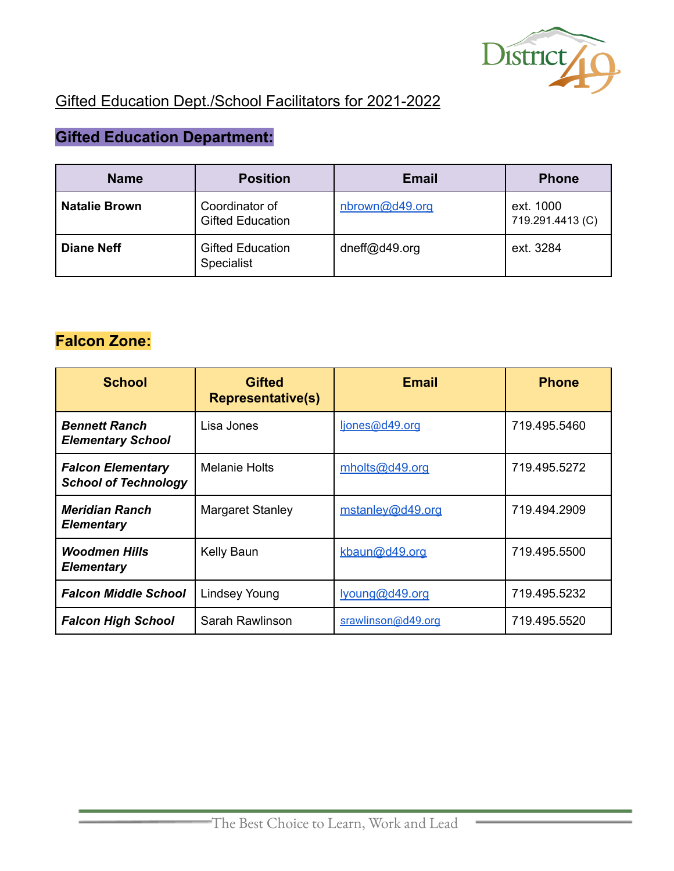

## Gifted Education Dept./School Facilitators for 2021-2022

# **Gifted Education Department:**

| <b>Name</b>          | <b>Position</b>                              | <b>Email</b>   | <b>Phone</b>                  |
|----------------------|----------------------------------------------|----------------|-------------------------------|
| <b>Natalie Brown</b> | Coordinator of<br><b>Gifted Education</b>    | nbrown@d49.org | ext. 1000<br>719.291.4413 (C) |
| <b>Diane Neff</b>    | <b>Gifted Education</b><br><b>Specialist</b> | dneff@d49.org  | ext. 3284                     |

### **Falcon Zone:**

| <b>School</b>                                           | <b>Gifted</b><br><b>Representative(s)</b> | <b>Email</b>       | <b>Phone</b> |
|---------------------------------------------------------|-------------------------------------------|--------------------|--------------|
| <b>Bennett Ranch</b><br><b>Elementary School</b>        | Lisa Jones                                | ljones@d49.org     | 719.495.5460 |
| <b>Falcon Elementary</b><br><b>School of Technology</b> | <b>Melanie Holts</b>                      | mholts@d49.org     | 719.495.5272 |
| <b>Meridian Ranch</b><br><b>Elementary</b>              | <b>Margaret Stanley</b>                   | mstanley@d49.org   | 719.494.2909 |
| <b>Woodmen Hills</b><br><b>Elementary</b>               | Kelly Baun                                | kbaun@d49.org      | 719.495.5500 |
| <b>Falcon Middle School</b>                             | Lindsey Young                             | lyoung@d49.org     | 719.495.5232 |
| <b>Falcon High School</b>                               | Sarah Rawlinson                           | srawlinson@d49.org | 719.495.5520 |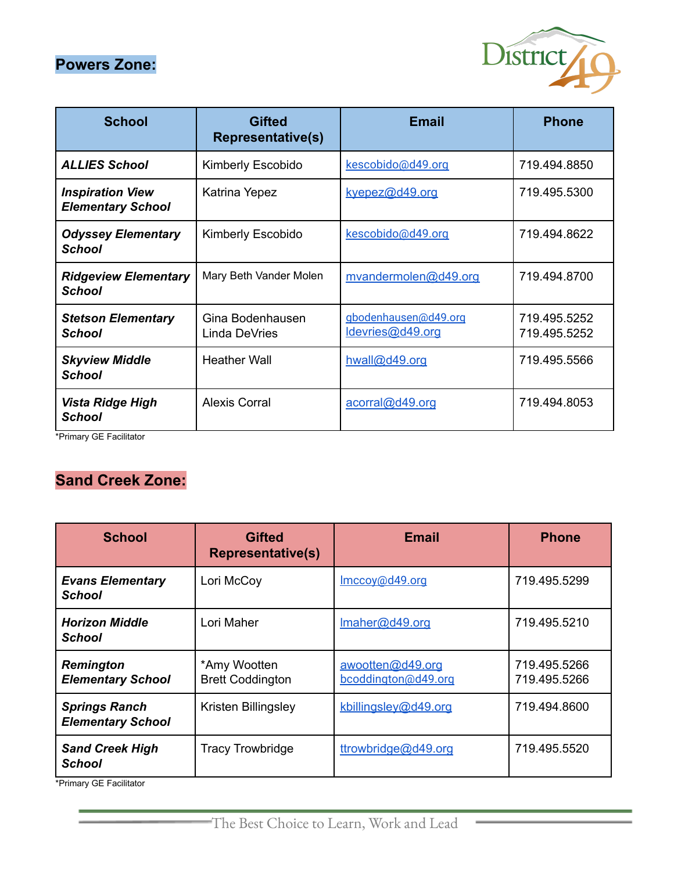### **Powers Zone:**



| <b>School</b>                                       | <b>Gifted</b><br><b>Representative(s)</b> | <b>Email</b>                             | <b>Phone</b>                 |
|-----------------------------------------------------|-------------------------------------------|------------------------------------------|------------------------------|
| <b>ALLIES School</b>                                | Kimberly Escobido                         | kescobido@d49.org                        | 719.494.8850                 |
| <b>Inspiration View</b><br><b>Elementary School</b> | Katrina Yepez                             | kyepez@d49.org                           | 719.495.5300                 |
| <b>Odyssey Elementary</b><br><b>School</b>          | Kimberly Escobido                         | kescobido@d49.org                        | 719.494.8622                 |
| <b>Ridgeview Elementary</b><br><b>School</b>        | Mary Beth Vander Molen                    | mvandermolen@d49.org                     | 719.494.8700                 |
| <b>Stetson Elementary</b><br><b>School</b>          | Gina Bodenhausen<br>Linda DeVries         | gbodenhausen@d49.org<br>ldevries@d49.org | 719.495.5252<br>719.495.5252 |
| <b>Skyview Middle</b><br><b>School</b>              | <b>Heather Wall</b>                       | hwall@d49.org                            | 719.495.5566                 |
| Vista Ridge High<br><b>School</b>                   | <b>Alexis Corral</b>                      | acorral@d49.org                          | 719.494.8053                 |

\*Primary GE Facilitator

### **Sand Creek Zone:**

| <b>School</b>                                    | <b>Gifted</b><br><b>Representative(s)</b> | <b>Email</b>                            | <b>Phone</b>                 |
|--------------------------------------------------|-------------------------------------------|-----------------------------------------|------------------------------|
| <b>Evans Elementary</b><br><b>School</b>         | Lori McCoy                                | Imccoy@d49.org                          | 719.495.5299                 |
| <b>Horizon Middle</b><br><b>School</b>           | Lori Maher                                | Imaher@d49.org                          | 719.495.5210                 |
| Remington<br><b>Elementary School</b>            | *Amy Wootten<br><b>Brett Coddington</b>   | awootten@d49.org<br>bcoddington@d49.org | 719.495.5266<br>719.495.5266 |
| <b>Springs Ranch</b><br><b>Elementary School</b> | Kristen Billingsley                       | kbillingsley@d49.org                    | 719.494.8600                 |
| <b>Sand Creek High</b><br><b>School</b>          | <b>Tracy Trowbridge</b>                   | ttrowbridge@d49.org                     | 719.495.5520                 |

\*Primary GE Facilitator

 $\overline{a}$